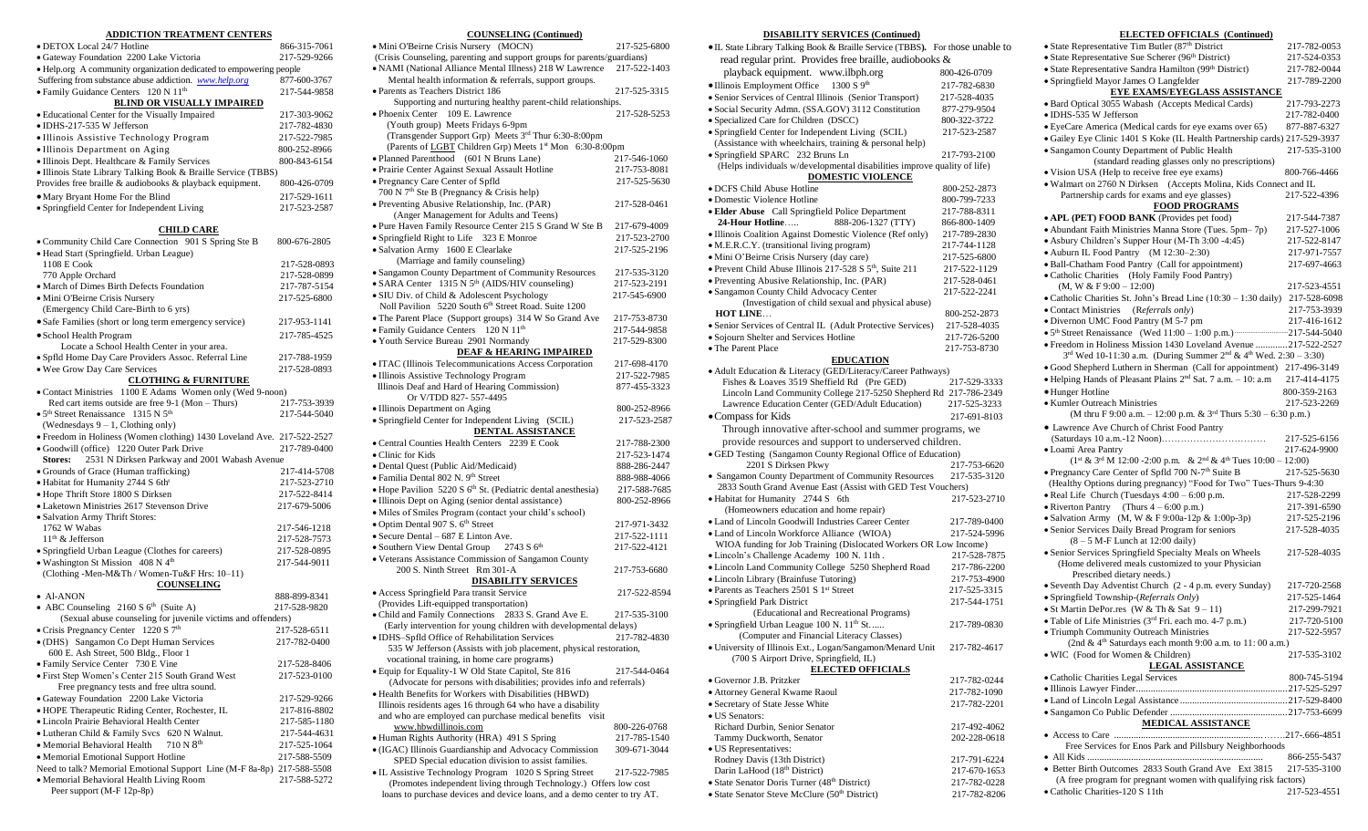#### **ADDICTION TREATMENT CENTERS**

| • DETOX Local 24/7 Hotline                                         | 866-315-7061 |
|--------------------------------------------------------------------|--------------|
| · Gateway Foundation 2200 Lake Victoria                            | 217-529-9266 |
| • Help.org A community organization dedicated to empowering people |              |
| Suffering from substance abuse addiction. www.help.org             | 877-600-3767 |
| • Family Guidance Centers 120 N 11 <sup>th</sup>                   | 217-544-9858 |
| <b>BLIND OR VISUALLY IMPAIRED</b>                                  |              |
| • Educational Center for the Visually Impaired                     | 217-303-9062 |
| $\bullet$ IDHS-217-535 W Jefferson                                 | 217-782-4830 |
| • Illinois Assistive Technology Program                            | 217-522-7985 |
| • Illinois Department on Aging                                     | 800-252-8966 |
| • Illinois Dept. Healthcare & Family Services                      | 800-843-6154 |
| • Illinois State Library Talking Book & Braille Service (TBBS)     |              |
| Provides free braille & audiobooks & playback equipment.           | 800-426-0709 |
| • Mary Bryant Home For the Blind                                   | 217-529-1611 |
| • Springfield Center for Independent Living                        | 217-523-2587 |
|                                                                    |              |

# **CHILD CARE**

| • Community Child Care Connection 901 S Spring Ste B                   | 800-676-2805 |
|------------------------------------------------------------------------|--------------|
| · Head Start (Springfield. Urban League)                               |              |
| 1108 E Cook                                                            | 217-528-0893 |
| 770 Apple Orchard                                                      | 217-528-0899 |
| · March of Dimes Birth Defects Foundation                              | 217-787-5154 |
| · Mini O'Beirne Crisis Nursery                                         | 217-525-6800 |
| (Emergency Child Care-Birth to 6 yrs)                                  |              |
| • Safe Families (short or long term emergency service)                 | 217-953-1141 |
| · School Health Program                                                | 217-785-4525 |
| Locate a School Health Center in your area.                            |              |
| · Spfld Home Day Care Providers Assoc. Referral Line                   | 217-788-1959 |
| . Wee Grow Day Care Services                                           | 217-528-0893 |
| <b>CLOTHING &amp; FURNITURE</b>                                        |              |
| • Contact Ministries 1100 E Adams Women only (Wed 9-noon)              |              |
| Red cart items outside are free $9-1$ (Mon - Thurs)                    | 217-753-3939 |
| • 5 <sup>th</sup> Street Renaissance 1315 N 5 <sup>th</sup>            | 217-544-5040 |
| (Wednesdays $9 - 1$ , Clothing only)                                   |              |
| · Freedom in Holiness (Women clothing) 1430 Loveland Ave. 217-522-2527 |              |
| · Goodwill (office) 1220 Outer Park Drive                              | 217-789-0400 |
| 2531 N Dirksen Parkway and 2001 Wabash Avenue<br><b>Stores:</b>        |              |
| • Grounds of Grace (Human trafficking)                                 | 217-414-5708 |
| · Habitat for Humanity 2744 S 6th <sup>t</sup>                         | 217-523-2710 |
| · Hope Thrift Store 1800 S Dirksen                                     | 217-522-8414 |
| • Laketown Ministries 2617 Stevenson Drive                             | 217-679-5006 |
| · Salvation Army Thrift Stores:                                        |              |
| 1762 W Wabas                                                           | 217-546-1218 |
| 11 <sup>th</sup> & Jefferson                                           | 217-528-7573 |
| · Springfield Urban League (Clothes for careers)                       | 217-528-0895 |
| $\bullet$ Washington St Mission 408 N 4 <sup>th</sup>                  | 217-544-9011 |
| (Clothing -Men-M&Th / Women-Tu&F Hrs: 10-11)                           |              |
| <b>COUNSELING</b>                                                      |              |
| $\bullet$ Al-ANON                                                      | 888-899-8341 |
| • ABC Counseling 2160 S $6th$ (Suite A)                                | 217-528-9820 |
| (Sexual abuse counseling for juvenile victims and offenders)           |              |
| • Crisis Pregnancy Center 1220 S 7 <sup>th</sup>                       | 217-528-6511 |
| · (DHS) Sangamon Co Dept Human Services                                | 217-782-0400 |
| 600 E. Ash Street, 500 Bldg., Floor 1                                  |              |
| • Family Service Center 730 E Vine                                     | 217-528-8406 |
| · First Step Women's Center 215 South Grand West                       | 217-523-0100 |
| Free pregnancy tests and free ultra sound.                             |              |
| · Gateway Foundation 2200 Lake Victoria                                | 217-529-9266 |
| · HOPE Therapeutic Riding Center, Rochester, IL                        | 217-816-8802 |
| · Lincoln Prairie Behavioral Health Center                             | 217-585-1180 |
| • Lutheran Child & Family Svcs 620 N Walnut.                           | 217-544-4631 |
| 710 N <sup>th</sup><br>• Memorial Behavioral Health                    | 217-525-1064 |
| • Memorial Emotional Support Hotline                                   | 217-588-5509 |
| Need to talk? Memorial Emotional Support Line (M-F 8a-8p) 217-588-5508 |              |
| · Memorial Behavioral Health Living Room                               | 217-588-5272 |
| Peer support (M-F 12p-8p)                                              |              |

| <b>COUNSELING (Continued)</b>                                                                                 |              |
|---------------------------------------------------------------------------------------------------------------|--------------|
| · Mini O'Beirne Crisis Nursery (MOCN)                                                                         | 217-525-6800 |
| (Crisis Counseling, parenting and support groups for parents/guardians)                                       |              |
| • NAMI (National Alliance Mental Illness) 218 W Lawrence                                                      | 217-522-1403 |
| Mental health information & referrals, support groups.                                                        |              |
| · Parents as Teachers District 186                                                                            | 217-525-3315 |
| Supporting and nurturing healthy parent-child relationships.                                                  |              |
| • Phoenix Center 109 E. Lawrence                                                                              | 217-528-5253 |
| (Youth group) Meets Fridays 6-9pm                                                                             |              |
| (Transgender Support Grp) Meets 3rd Thur 6:30-8:00pm                                                          |              |
| (Parents of LGBT Children Grp) Meets 1 <sup>st</sup> Mon 6:30-8:00pm                                          |              |
| • Planned Parenthood (601 N Bruns Lane)                                                                       | 217-546-1060 |
| · Prairie Center Against Sexual Assault Hotline                                                               | 217-753-8081 |
|                                                                                                               |              |
| · Pregnancy Care Center of Spfld<br>700 N 7 <sup>th</sup> Ste B (Pregnancy & Crisis help)                     | 217-525-5630 |
|                                                                                                               |              |
| • Preventing Abusive Relationship, Inc. (PAR)                                                                 | 217-528-0461 |
| (Anger Management for Adults and Teens)                                                                       |              |
| . Pure Haven Family Resource Center 215 S Grand W Ste B                                                       | 217-679-4009 |
| • Springfield Right to Life 323 E Monroe                                                                      | 217-523-2700 |
| · Salvation Army 1600 E Clearlake                                                                             | 217-525-2196 |
| (Marriage and family counseling)                                                                              |              |
| • Sangamon County Department of Community Resources                                                           | 217-535-3120 |
| • SARA Center 1315 N 5 <sup>th</sup> (AIDS/HIV counseling)                                                    | 217-523-2191 |
| • SIU Div. of Child & Adolescent Psychology                                                                   | 217-545-6900 |
| Noll Pavilion 5220 South 6th Street Road. Suite 1200                                                          |              |
| • The Parent Place (Support groups) 314 W So Grand Ave                                                        | 217-753-8730 |
| • Family Guidance Centers 120 N 11 <sup>th</sup>                                                              | 217-544-9858 |
| · Youth Service Bureau 2901 Normandy                                                                          | 217-529-8300 |
| DEAF & HEARING IMPAIRED                                                                                       |              |
| · ITAC (Illinois Telecommunications Access Corporation                                                        | 217-698-4170 |
| · Illinois Assistive Technology Program                                                                       | 217-522-7985 |
| Illinois Deaf and Hard of Hearing Commission)                                                                 | 877-455-3323 |
| Or V/TDD 827-557-4495                                                                                         |              |
|                                                                                                               |              |
|                                                                                                               |              |
| • Illinois Department on Aging                                                                                | 800-252-8966 |
| • Springfield Center for Independent Living (SCIL)                                                            | 217-523-2587 |
| <b>DENTAL ASSISTANCE</b>                                                                                      |              |
| • Central Counties Health Centers 2239 E Cook                                                                 | 217-788-2300 |
| • Clinic for Kids                                                                                             | 217-523-1474 |
| · Dental Quest (Public Aid/Medicaid)                                                                          | 888-286-2447 |
| · Familia Dental 802 N. 9th Street                                                                            | 888-988-4066 |
| $\bullet$ Hope Pavilion 5220 S $6th$ St. (Pediatric dental anesthesia)                                        | 217-588-7685 |
| · Illinois Dept on Aging (senior dental assistance)                                                           | 800-252-8966 |
| · Miles of Smiles Program (contact your child's school)                                                       |              |
| • Optim Dental 907 S. 6 <sup>th</sup> Street                                                                  | 217-971-3432 |
| • Secure Dental - 687 E Linton Ave.                                                                           | 217-522-1111 |
| · Southern View Dental Group<br>2743 S <sup>th</sup>                                                          | 217-522-4121 |
| · Veterans Assistance Commission of Sangamon County                                                           |              |
| 200 S. Ninth Street Rm 301-A                                                                                  | 217-753-6680 |
| <b>DISABILITY SERVICES</b>                                                                                    |              |
|                                                                                                               | 217-522-8594 |
| • Access Springfield Para transit Service                                                                     |              |
| (Provides Lift-equipped transportation)                                                                       |              |
| • Child and Family Connections<br>2833 S. Grand Ave E.                                                        | 217-535-3100 |
| (Early intervention for young children with developmental delays)                                             |              |
| • IDHS-Spfld Office of Rehabilitation Services                                                                | 217-782-4830 |
| 535 W Jefferson (Assists with job placement, physical restoration,                                            |              |
| vocational training, in home care programs)                                                                   |              |
| · Equip for Equality-1 W Old State Capitol, Ste 816                                                           | 217-544-0464 |
| (Advocate for persons with disabilities; provides info and referrals)                                         |              |
| · Health Benefits for Workers with Disabilities (HBWD)                                                        |              |
| Illinois residents ages 16 through 64 who have a disability                                                   |              |
| and who are employed can purchase medical benefits visit                                                      |              |
| www.hbwdillinois.com                                                                                          | 800-226-0768 |
| · Human Rights Authority (HRA) 491 S Spring                                                                   | 217-785-1540 |
| · (IGAC) Illinois Guardianship and Advocacy Commission<br>SPED Special education division to assist families. | 309-671-3044 |

• IL Assistive Technology Program 1020 S Spring Street 217-522-7985 (Promotes independent living through Technology.) Offers low cost loans to purchase devices and device loans, and a demo center to try AT.

### **DISABILITY SERVICES (Continued)**

| • IL State Library Talking Book & Braille Service (TBBS). For those unable to                        |              |
|------------------------------------------------------------------------------------------------------|--------------|
| read regular print. Provides free braille, audiobooks &                                              |              |
| playback equipment. www.ilbph.org                                                                    | 800-426-0709 |
| 1300 S 9th<br>• Illinois Employment Office                                                           | 217-782-6830 |
| · Senior Services of Central Illinois (Senior Transport)                                             | 217-528-4035 |
| · Social Security Admn. (SSA.GOV) 3112 Constitution                                                  | 877-279-9504 |
| · Specialized Care for Children (DSCC)                                                               | 800-322-3722 |
| • Springfield Center for Independent Living (SCIL)                                                   | 217-523-2587 |
| (Assistance with wheelchairs, training & personal help)                                              |              |
| • Springfield SPARC 232 Bruns Ln                                                                     | 217-793-2100 |
| (Helps individuals w/developmental disabilities improve quality of life)<br><b>DOMESTIC VIOLENCE</b> |              |
| • DCFS Child Abuse Hotline                                                                           | 800-252-2873 |
| • Domestic Violence Hotline                                                                          | 800-799-7233 |
| · Elder Abuse Call Springfield Police Department                                                     | 217-788-8311 |
| 24-Hour Hotline<br>888-206-1327 (TTY)                                                                | 866-800-1409 |
| · Illinois Coalition Against Domestic Violence (Ref only)                                            | 217-789-2830 |
| • M.E.R.C.Y. (transitional living program)                                                           | 217-744-1128 |
| · Mini O'Beirne Crisis Nursery (day care)                                                            | 217-525-6800 |
| • Prevent Child Abuse Illinois 217-528 S 5 <sup>th</sup> , Suite 211                                 | 217-522-1129 |
| • Preventing Abusive Relationship, Inc. (PAR)                                                        | 217-528-0461 |
| · Sangamon County Child Advocacy Center                                                              | 217-522-2241 |
| (Investigation of child sexual and physical abuse)                                                   |              |
| <b>HOT LINE</b>                                                                                      | 800-252-2873 |
| • Senior Services of Central IL (Adult Protective Services)                                          | 217-528-4035 |
| · Sojourn Shelter and Services Hotline                                                               | 217-726-5200 |
| • The Parent Place                                                                                   | 217-753-8730 |
| <b>EDUCATION</b>                                                                                     |              |
| • Adult Education & Literacy (GED/Literacy/Career Pathways)                                          |              |
| Fishes & Loaves 3519 Sheffield Rd (Pre GED)                                                          | 217-529-3333 |
| Lincoln Land Community College 217-5250 Shepherd Rd 217-786-2349                                     |              |
| Lawrence Education Center (GED/Adult Education)                                                      | 217-525-3233 |
| • Compass for Kids                                                                                   | 217-691-8103 |
| Through innovative after-school and summer programs, we                                              |              |
| provide resources and support to underserved children.                                               |              |
| · GED Testing (Sangamon County Regional Office of Education)                                         |              |
| 2201 S Dirksen Pkwy                                                                                  | 217-753-6620 |
| • Sangamon County Department of Community Resources                                                  | 217-535-3120 |
| 2833 South Grand Avenue East (Assist with GED Test Vouchers)                                         |              |
| · Habitat for Humanity 2744 S 6th                                                                    | 217-523-2710 |
| (Homeowners education and home repair)                                                               |              |
| • Land of Lincoln Goodwill Industries Career Center                                                  | 217-789-0400 |
| • Land of Lincoln Workforce Alliance (WIOA)                                                          | 217-524-5996 |
| WIOA funding for Job Training (Dislocated Workers OR Low Income)                                     |              |
| · Lincoln's Challenge Academy 100 N. 11th.                                                           | 217-528-7875 |
| • Lincoln Land Community College 5250 Shepherd Road                                                  | 217-786-2200 |
| · Lincoln Library (Brainfuse Tutoring)                                                               | 217-753-4900 |
| • Parents as Teachers 2501 S 1st Street                                                              | 217-525-3315 |
| • Springfield Park District                                                                          | 217-544-1751 |
| (Educational and Recreational Programs)<br>• Springfield Urban League 100 N. 11 <sup>th</sup> St     | 217-789-0830 |
| (Computer and Financial Literacy Classes)                                                            |              |
| · University of Illinois Ext., Logan/Sangamon/Menard Unit                                            | 217-782-4617 |
| (700 S Airport Drive, Springfield, IL)                                                               |              |
| <b>ELECTED OFFICIALS</b>                                                                             |              |
| · Governor J.B. Pritzker                                                                             | 217-782-0244 |
| • Attorney General Kwame Raoul                                                                       | 217-782-1090 |
| · Secretary of State Jesse White                                                                     | 217-782-2201 |
| • US Senators:                                                                                       |              |
| Richard Durbin, Senior Senator                                                                       | 217-492-4062 |
| Tammy Duckworth, Senator                                                                             | 202-228-0618 |
| • US Representatives:                                                                                |              |
| Rodney Davis (13th District)                                                                         | 217-791-6224 |
| Darin LaHood (18th District)<br>• State Senator Doris Turner (48 <sup>th</sup> District)             | 217-670-1653 |
|                                                                                                      | 217-782-0228 |

• State Senator Steve McClure (50<sup>th</sup> District) 217-782-8206

### **ELECTED OFFICIALS (Continued)**

| • State Representative Tim Butler $(87th$ District                                                                                                                                                                                                     | 217-782-0053 |
|--------------------------------------------------------------------------------------------------------------------------------------------------------------------------------------------------------------------------------------------------------|--------------|
| · State Representative Sue Scherer (96 <sup>th</sup> District)                                                                                                                                                                                         | 217-524-0353 |
| • State Representative Sandra Hamilton (99 <sup>th</sup> District)                                                                                                                                                                                     | 217-782-0044 |
| · Springfield Mayor James O Langfelder                                                                                                                                                                                                                 | 217-789-2200 |
| <b>EYE EXAMS/EYEGLASS ASSISTANCE</b>                                                                                                                                                                                                                   |              |
| · Bard Optical 3055 Wabash (Accepts Medical Cards)                                                                                                                                                                                                     | 217-793-2273 |
| · IDHS-535 W Jefferson                                                                                                                                                                                                                                 | 217-782-0400 |
| • EyeCare America (Medical cards for eye exams over 65)                                                                                                                                                                                                | 877-887-6327 |
| • Gailey Eye Clinic 1401 S Koke (IL Health Partnership cards) 217-529-3937                                                                                                                                                                             |              |
| • Sangamon County Department of Public Health<br>(standard reading glasses only no prescriptions)                                                                                                                                                      | 217-535-3100 |
| • Vision USA (Help to receive free eye exams)                                                                                                                                                                                                          | 800-766-4466 |
| . Walmart on 2760 N Dirksen (Accepts Molina, Kids Connect and IL                                                                                                                                                                                       |              |
| Partnership cards for exams and eye glasses)                                                                                                                                                                                                           | 217-522-4396 |
| <b>FOOD PROGRAMS</b>                                                                                                                                                                                                                                   |              |
| • APL (PET) FOOD BANK (Provides pet food)                                                                                                                                                                                                              | 217-544-7387 |
| • Abundant Faith Ministries Manna Store (Tues. 5pm–7p)                                                                                                                                                                                                 | 217-527-1006 |
| • Asbury Children's Supper Hour (M-Th 3:00 -4:45)                                                                                                                                                                                                      | 217-522-8147 |
| • Auburn IL Food Pantry (M 12:30-2:30)                                                                                                                                                                                                                 | 217-971-7557 |
| · Ball-Chatham Food Pantry (Call for appointment)                                                                                                                                                                                                      | 217-697-4663 |
| • Catholic Charities (Holy Family Food Pantry)                                                                                                                                                                                                         |              |
| $(M, W & F 9:00 - 12:00)$<br>• Catholic Charities St. John's Bread Line $(10:30 - 1:30 \text{ daily})$ 217-528-6098                                                                                                                                    | 217-523-4551 |
| (Referrals only)<br>• Contact Ministries                                                                                                                                                                                                               | 217-753-3939 |
| • Divernon UMC Food Pantry (M 5-7 pm                                                                                                                                                                                                                   | 217-416-1612 |
| • $5th$ Street Renaissance (Wed 11:00 – 1:00 p.m.) $\frac{3.544 - 5040}{2.064 - 1.00 + 1.00 + 1.00 + 1.00 + 1.00 + 1.00 + 1.00 + 1.00 + 1.00 + 1.00 + 1.00 + 1.00 + 1.00 + 1.00 + 1.00 + 1.00 + 1.00 + 1.00 + 1.00 + 1.00 + 1.00 + 1.00 + 1.00 + 1.00$ |              |
| · Freedom in Holiness Mission 1430 Loveland Avenue  217-522-2527                                                                                                                                                                                       |              |
| $3^{rd}$ Wed 10-11:30 a.m. (During Summer $2^{nd}$ & 4 <sup>th</sup> Wed. 2:30 - 3:30)                                                                                                                                                                 |              |
| · Good Shepherd Luthern in Sherman (Call for appointment) 217-496-3149                                                                                                                                                                                 |              |
| • Helping Hands of Pleasant Plains $2nd$ Sat. 7 a.m. - 10: a.m                                                                                                                                                                                         | 217-414-4175 |
| · Hunger Hotline                                                                                                                                                                                                                                       | 800-359-2163 |
| · Kumler Outreach Ministries                                                                                                                                                                                                                           | 217-523-2269 |
| (M thru F 9:00 a.m. $- 12:00$ p.m. & 3 <sup>rd</sup> Thurs 5:30 $- 6:30$ p.m.)                                                                                                                                                                         |              |
| • Lawrence Ave Church of Christ Food Pantry                                                                                                                                                                                                            |              |
|                                                                                                                                                                                                                                                        | 217-525-6156 |
| • Loami Area Pantry                                                                                                                                                                                                                                    | 217-624-9900 |
| $(1^{st} & 3^{rd} M 12:00 - 2:00 p.m. \& 2^{nd} & 4^{th} Tues 10:00 - 12:00)$<br>• Pregnancy Care Center of Spfld 700 N-7 <sup>th</sup> Suite B                                                                                                        | 217-525-5630 |
| (Healthy Options during pregnancy) "Food for Two" Tues-Thurs 9-4:30                                                                                                                                                                                    |              |
| • Real Life Church (Tuesdays $4:00 - 6:00$ p.m.                                                                                                                                                                                                        | 217-528-2299 |
| • Riverton Pantry<br>(Thurs $4 - 6:00$ p.m.)                                                                                                                                                                                                           | 217-391-6590 |
| • Salvation Army (M, W & F 9:00a-12p & 1:00p-3p)                                                                                                                                                                                                       | 217-525-2196 |
| • Senior Services Daily Bread Program for seniors                                                                                                                                                                                                      | 217-528-4035 |
| $(8 - 5)$ M-F Lunch at 12:00 daily)                                                                                                                                                                                                                    |              |
| • Senior Services Springfield Specialty Meals on Wheels                                                                                                                                                                                                | 217-528-4035 |
| (Home delivered meals customized to your Physician                                                                                                                                                                                                     |              |
| Prescribed dietary needs.)                                                                                                                                                                                                                             |              |
| • Seventh Day Adventist Church (2 - 4 p.m. every Sunday)                                                                                                                                                                                               | 217-720-2568 |
| · Springfield Township-(Referrals Only)                                                                                                                                                                                                                | 217-525-1464 |
| • St Martin DePor.res (W & Th & Sat $9 - 11$ )                                                                                                                                                                                                         | 217-299-7921 |
| • Table of Life Ministries $(3rd Fri. each mo. 4-7 p.m.)$                                                                                                                                                                                              | 217-720-5100 |
| · Triumph Community Outreach Ministries                                                                                                                                                                                                                | 217-522-5957 |
| (2nd & $4th$ Saturdays each month 9:00 a.m. to 11:00 a.m.)<br>· WIC (Food for Women & Children)                                                                                                                                                        | 217-535-3102 |
| <b>LEGAL ASSISTANCE</b>                                                                                                                                                                                                                                |              |
| • Catholic Charities Legal Services                                                                                                                                                                                                                    | 800-745-5194 |
|                                                                                                                                                                                                                                                        |              |
|                                                                                                                                                                                                                                                        |              |
|                                                                                                                                                                                                                                                        |              |
|                                                                                                                                                                                                                                                        |              |
| <b>MEDICAL ASSISTANCE</b>                                                                                                                                                                                                                              |              |
|                                                                                                                                                                                                                                                        |              |
| Free Services for Enos Park and Pillsbury Neighborhoods                                                                                                                                                                                                |              |
|                                                                                                                                                                                                                                                        | 866-255-5437 |
| • Better Birth Outcomes 2833 South Grand Ave Ext 3815                                                                                                                                                                                                  | 217-535-3100 |
| (A free program for pregnant women with qualifying risk factors)<br>· Catholic Charities-120 S 11th                                                                                                                                                    | 217-523-4551 |